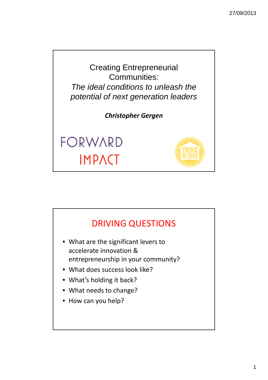

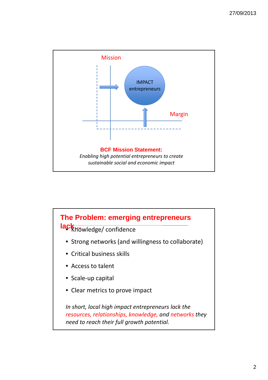

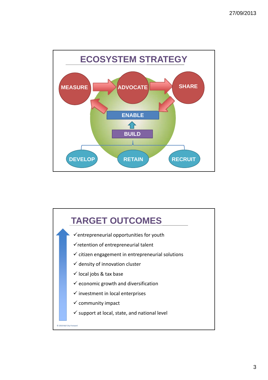



3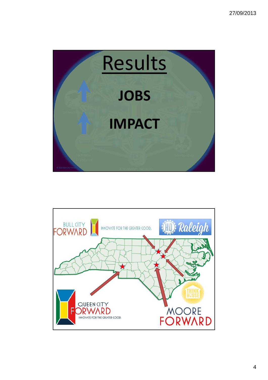

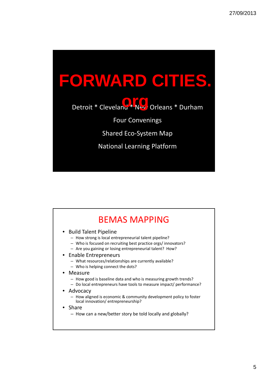

| • Build Talent Pipeline                                                                                                 |
|-------------------------------------------------------------------------------------------------------------------------|
| - How strong is local entrepreneurial talent pipeline?<br>- Who is focused on recruiting best practice orgs/innovators? |
| - Are you gaining or losing entrepreneurial talent? How?                                                                |
| • Enable Entrepreneurs                                                                                                  |
| - What resources/relationships are currently available?                                                                 |
| - Who is helping connect the dots?                                                                                      |
| • Measure                                                                                                               |
| - How good is baseline data and who is measuring growth trends?                                                         |
| - Do local entrepreneurs have tools to measure impact/ performance?                                                     |
| • Advocacy                                                                                                              |
| - How aligned is economic & community development policy to foster<br>local innovation/entrepreneurship?                |
| • Share                                                                                                                 |
| - How can a new/better story be told locally and globally?                                                              |